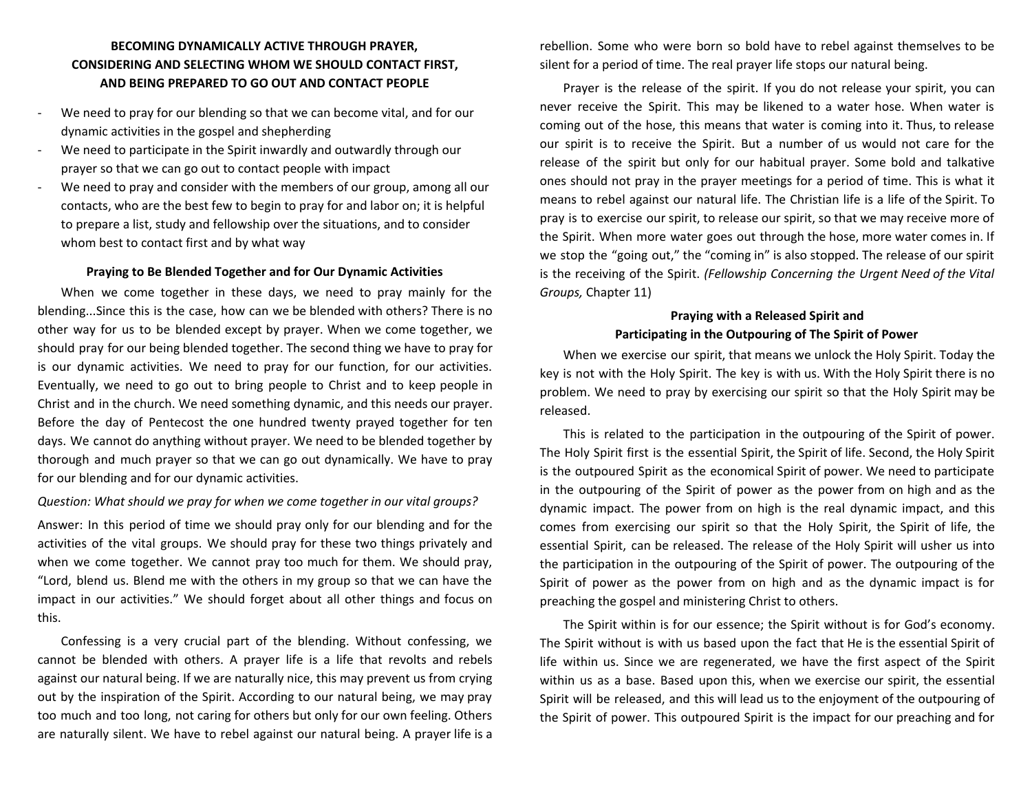# **BECOMING DYNAMICALLY ACTIVE THROUGH PRAYER, CONSIDERING AND SELECTING WHOM WE SHOULD CONTACT FIRST, AND BEING PREPARED TO GO OUT AND CONTACT PEOPLE**

- We need to pray for our blending so that we can become vital, and for our dynamic activities in the gospel and shepherding
- We need to participate in the Spirit inwardly and outwardly through our prayer so that we can go out to contact people with impact
- We need to pray and consider with the members of our group, among all our contacts, who are the best few to begin to pray for and labor on; it is helpful to prepare a list, study and fellowship over the situations, and to consider whom best to contact first and by what way

#### **Praying to Be Blended Together and for Our Dynamic Activities**

When we come together in these days, we need to pray mainly for the blending...Since this is the case, how can we be blended with others? There is no other way for us to be blended except by prayer. When we come together, we should pray for our being blended together. The second thing we have to pray for is our dynamic activities. We need to pray for our function, for our activities. Eventually, we need to go out to bring people to Christ and to keep people in Christ and in the church. We need something dynamic, and this needs our prayer. Before the day of Pentecost the one hundred twenty prayed together for ten days. We cannot do anything without prayer. We need to be blended together by thorough and much prayer so that we can go out dynamically. We have to pray for our blending and for our dynamic activities.

### *Question: What should we pray for when we come together in our vital groups?*

Answer: In this period of time we should pray only for our blending and for the activities of the vital groups. We should pray for these two things privately and when we come together. We cannot pray too much for them. We should pray, "Lord, blend us. Blend me with the others in my group so that we can have the impact in our activities." We should forget about all other things and focus on this.

Confessing is a very crucial part of the blending. Without confessing, we cannot be blended with others. A prayer life is a life that revolts and rebels against our natural being. If we are naturally nice, this may prevent us from crying out by the inspiration of the Spirit. According to our natural being, we may pray too much and too long, not caring for others but only for our own feeling. Others are naturally silent. We have to rebel against our natural being. A prayer life is a rebellion. Some who were born so bold have to rebel against themselves to be silent for a period of time. The real prayer life stops our natural being.

Prayer is the release of the spirit. If you do not release your spirit, you can never receive the Spirit. This may be likened to a water hose. When water is coming out of the hose, this means that water is coming into it. Thus, to release our spirit is to receive the Spirit. But a number of us would not care for the release of the spirit but only for our habitual prayer. Some bold and talkative ones should not pray in the prayer meetings for a period of time. This is what it means to rebel against our natural life. The Christian life is a life of the Spirit. To pray is to exercise our spirit, to release our spirit, so that we may receive more of the Spirit. When more water goes out through the hose, more water comes in. If we stop the "going out," the "coming in" is also stopped. The release of our spirit is the receiving of the Spirit. *(Fellowship Concerning the Urgent Need of the Vital Groups,* Chapter 11)

## **Praying with a Released Spirit and Participating in the Outpouring of The Spirit of Power**

When we exercise our spirit, that means we unlock the Holy Spirit. Today the key is not with the Holy Spirit. The key is with us. With the Holy Spirit there is no problem. We need to pray by exercising our spirit so that the Holy Spirit may be released.

This is related to the participation in the outpouring of the Spirit of power. The Holy Spirit first is the essential Spirit, the Spirit of life. Second, the Holy Spirit is the outpoured Spirit as the economical Spirit of power. We need to participate in the outpouring of the Spirit of power as the power from on high and as the dynamic impact. The power from on high is the real dynamic impact, and this comes from exercising our spirit so that the Holy Spirit, the Spirit of life, the essential Spirit, can be released. The release of the Holy Spirit will usher us into the participation in the outpouring of the Spirit of power. The outpouring of the Spirit of power as the power from on high and as the dynamic impact is for preaching the gospel and ministering Christ to others.

The Spirit within is for our essence; the Spirit without is for God's economy. The Spirit without is with us based upon the fact that He is the essential Spirit of life within us. Since we are regenerated, we have the first aspect of the Spirit within us as a base. Based upon this, when we exercise our spirit, the essential Spirit will be released, and this will lead us to the enjoyment of the outpouring of the Spirit of power. This outpoured Spirit is the impact for our preaching and for